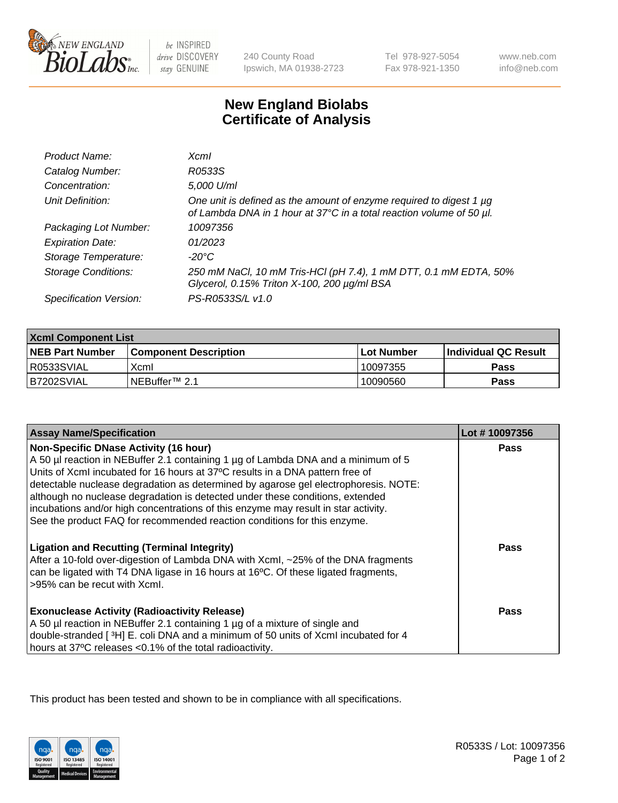

 $be$  INSPIRED drive DISCOVERY stay GENUINE

240 County Road Ipswich, MA 01938-2723 Tel 978-927-5054 Fax 978-921-1350

www.neb.com info@neb.com

## **New England Biolabs Certificate of Analysis**

| Product Name:              | <b>Xcml</b>                                                                                                                                      |
|----------------------------|--------------------------------------------------------------------------------------------------------------------------------------------------|
| Catalog Number:            | R0533S                                                                                                                                           |
| Concentration:             | 5,000 U/ml                                                                                                                                       |
| Unit Definition:           | One unit is defined as the amount of enzyme required to digest 1 $\mu$ g<br>of Lambda DNA in 1 hour at 37°C in a total reaction volume of 50 µl. |
| Packaging Lot Number:      | 10097356                                                                                                                                         |
| <b>Expiration Date:</b>    | 01/2023                                                                                                                                          |
| Storage Temperature:       | -20°C                                                                                                                                            |
| <b>Storage Conditions:</b> | 250 mM NaCl, 10 mM Tris-HCl (pH 7.4), 1 mM DTT, 0.1 mM EDTA, 50%<br>Glycerol, 0.15% Triton X-100, 200 µg/ml BSA                                  |
| Specification Version:     | PS-R0533S/L v1.0                                                                                                                                 |

| <b>Xcml Component List</b> |                            |              |                             |  |
|----------------------------|----------------------------|--------------|-----------------------------|--|
| <b>NEB Part Number</b>     | l Component Description    | l Lot Number | <b>Individual QC Result</b> |  |
| R0533SVIAL                 | Xcml                       | 10097355     | Pass                        |  |
| B7202SVIAL                 | INEBuffer <sup>™</sup> 2.1 | 10090560     | Pass                        |  |

| <b>Assay Name/Specification</b>                                                                                                                                                                                                                                                                           | Lot #10097356 |
|-----------------------------------------------------------------------------------------------------------------------------------------------------------------------------------------------------------------------------------------------------------------------------------------------------------|---------------|
| <b>Non-Specific DNase Activity (16 hour)</b><br>A 50 µl reaction in NEBuffer 2.1 containing 1 µg of Lambda DNA and a minimum of 5<br>Units of XcmI incubated for 16 hours at 37°C results in a DNA pattern free of<br>detectable nuclease degradation as determined by agarose gel electrophoresis. NOTE: | <b>Pass</b>   |
| although no nuclease degradation is detected under these conditions, extended<br>incubations and/or high concentrations of this enzyme may result in star activity.<br>See the product FAQ for recommended reaction conditions for this enzyme.                                                           |               |
| <b>Ligation and Recutting (Terminal Integrity)</b><br>After a 10-fold over-digestion of Lambda DNA with Xcml, ~25% of the DNA fragments<br>can be ligated with T4 DNA ligase in 16 hours at 16°C. Of these ligated fragments,<br>>95% can be recut with Xcml.                                             | Pass          |
| <b>Exonuclease Activity (Radioactivity Release)</b><br>A 50 µl reaction in NEBuffer 2.1 containing 1 µg of a mixture of single and<br>double-stranded [3H] E. coli DNA and a minimum of 50 units of Xcml incubated for 4<br>hours at 37°C releases <0.1% of the total radioactivity.                      | Pass          |

This product has been tested and shown to be in compliance with all specifications.